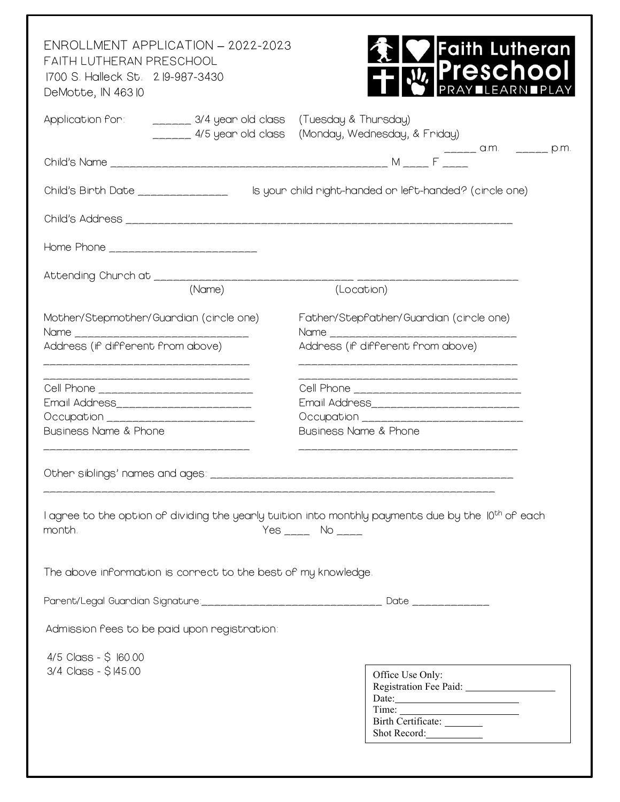| ENROLLMENT APPLICATION - 2022-2023<br>FAITH LUTHERAN PRESCHOOL<br>1700 S. Halleck St. 2 19-987-3430<br>DeMotte, IN 46310                                  | Faith Lutheran<br><b>IPresch</b><br>001<br>HFAR                                                                |
|-----------------------------------------------------------------------------------------------------------------------------------------------------------|----------------------------------------------------------------------------------------------------------------|
| Application for: _______ 3/4 year old class (Tuesday & Thursday)                                                                                          | _____ 4/5 year old class (Monday, Wednesday, & Friday)                                                         |
|                                                                                                                                                           | $F$ $\frac{1}{2}$ a.m. $\frac{1}{2}$ p.m.                                                                      |
| Child's Birth Date _______________                                                                                                                        | Is your child right-handed or left-handed? (circle one)                                                        |
|                                                                                                                                                           |                                                                                                                |
| Home Phone __________________________                                                                                                                     |                                                                                                                |
|                                                                                                                                                           |                                                                                                                |
| (Name)                                                                                                                                                    | (Location)                                                                                                     |
| Mother/Stepmother/Guardian (circle one)<br>Name and the Name of the Name of the Name of the Name of the Name of the Name of the Name of the Name of the N | Father/Stepfather/Guardian (cincle one)<br>Name <b>Name</b>                                                    |
| Address (if different from above)<br>___________________________________                                                                                  | Address (if different from above)<br>____________________________________                                      |
| ___________________________<br>Cell Phone ___________________________                                                                                     | _________________________________<br>Cell Phone ______________________________                                 |
| Email Address________________________                                                                                                                     |                                                                                                                |
| <b>Business Name &amp; Phone</b>                                                                                                                          | <b>Business Name &amp; Phone</b>                                                                               |
| _______________________________<br>Other siblings' names and ages:                                                                                        |                                                                                                                |
| month.                                                                                                                                                    | I agree to the option of dividing the yearly tuition into monthly payments due by the 10 <sup>th</sup> of each |
| The above information is correct to the best of my knowledge.                                                                                             |                                                                                                                |
| Parent/Legal Guardian Signature:_________________________________ Date ______________                                                                     |                                                                                                                |
| Admission fees to be paid upon registration:                                                                                                              |                                                                                                                |
| $4/5$ Class - \$ $160.00$<br>3/4 Class - \$145.00                                                                                                         | Office Use Only:<br>$\text{Date:}\underline{\hspace{2.5cm}}$<br>Birth Certificate: _______<br>Shot Record:     |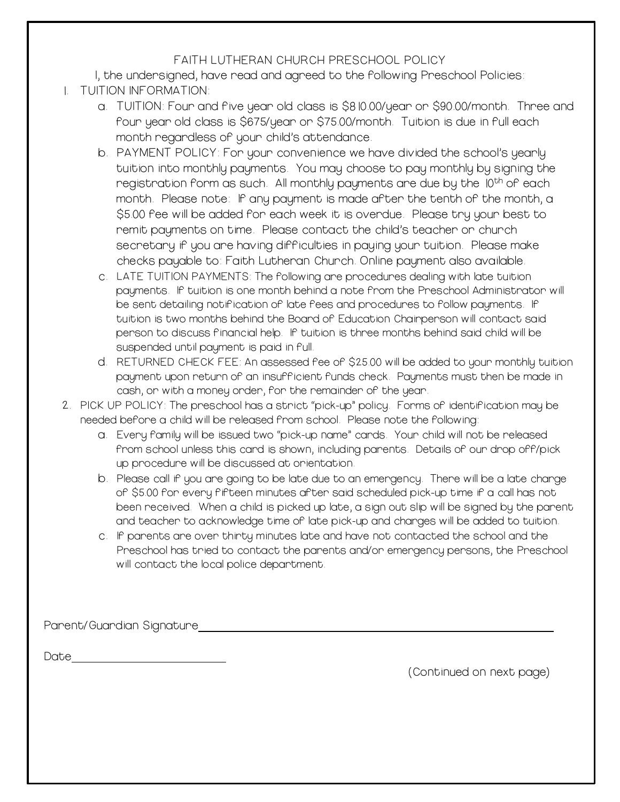## FAITH LUTHERAN CHURCH PRESCHOOL POLICY

I, the undersigned, have read and agreed to the following Preschool Policies:

- 1. TUITION INFORMATION:
	- a. TUITION: Four and five year old class is \$810.00/year or \$90.00/month. Three and four year old class is \$675/year or \$75.00/month. Tuition is due in full each month regardless of your child's attendance.
	- b. PAYMENT POLICY: For your convenience we have divided the school's yearly tuition into monthly payments. You may choose to pay monthly by signing the registration form as such. All monthly payments are due by the 10<sup>th</sup> of each month. Please note: If any payment is made after the tenth of the month, a \$5.00 fee will be added for each week it is overdue. Please try your best to remit payments on time. Please contact the child's teacher or church secretary if you are having difficulties in paying your tuition. Please make checks payable to: Faith Lutheran Church. Online payment also available.
	- c. LATE TUITION PAYMENTS: The following are procedures dealing with late tuition payments. If tuition is one month behind a note from the Preschool Administrator will be sent detailing notification of late fees and procedures to follow payments. If tuition is two months behind the Board of Education Chairperson will contact said person to discuss financial help. If tuition is three months behind said child will be suspended until payment is paid in full.
	- d. RETURNED CHECK FEE: An assessed fee of \$25.00 will be added to your monthly tuition payment upon return of an insufficient funds check. Payments must then be made in cash, or with a money order, for the remainder of the year.
- 2. PICK UP POLICY: The preschool has a strict "pick-up" policy. Forms of identification may be needed before a child will be released from school. Please note the following:
	- a. Every family will be issued two "pick-up name" cards. Your child will not be released from school unless this card is shown, including parents. Details of our drop off/pick up procedure will be discussed at orientation.
	- b. Please call if you are going to be late due to an emergency. There will be a late charge of \$5.00 for every fifteen minutes after said scheduled pick-up time if a call has not been received. When a child is picked up late, a sign out slip will be signed by the parent and teacher to acknowledge time of late pick-up and charges will be added to tuition.
	- c. If parents are over thirty minutes late and have not contacted the school and the Preschool has tried to contact the parents and/or emergency persons, the Preschool will contact the local police department.

Parent/Guardian Signature

Date and the second contract of the second contract of the second contract of the second contract of the second contract of the second contract of the second contract of the second contract of the second contract of the se

(Continued on next page)